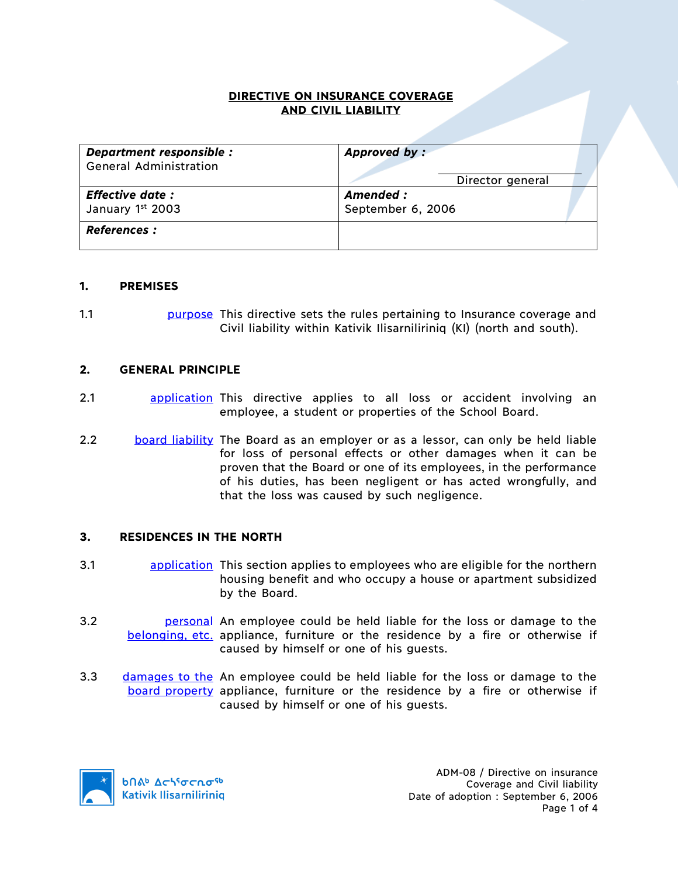### **DIRECTIVE ON INSURANCE COVERAGE AND CIVIL LIABILITY**

| Department responsible :<br><b>General Administration</b> | Approved by:                                       |
|-----------------------------------------------------------|----------------------------------------------------|
| <b>Effective date:</b><br>January 1st 2003                | Director general<br>Amended :<br>September 6, 2006 |
| <b>References :</b>                                       |                                                    |

#### **1. PREMISES**

1.1 purpose This directive sets the rules pertaining to Insurance coverage and Civil liability within Kativik Ilisarniliriniq (KI) (north and south).

#### **2. GENERAL PRINCIPLE**

- 2.1 **application** This directive applies to all loss or accident involving an employee, a student or properties of the School Board.
- 2.2 board liability The Board as an employer or as a lessor, can only be held liable for loss of personal effects or other damages when it can be proven that the Board or one of its employees, in the performance of his duties, has been negligent or has acted wrongfully, and that the loss was caused by such negligence.

#### **3. RESIDENCES IN THE NORTH**

- 3.1 **application** This section applies to employees who are eligible for the northern housing benefit and who occupy a house or apartment subsidized by the Board.
- 3.2 **belogie bersonal** An employee could be held liable for the loss or damage to the belonging, etc. appliance, furniture or the residence by a fire or otherwise if caused by himself or one of his guests.
- 3.3 damages to the An employee could be held liable for the loss or damage to the board property appliance, furniture or the residence by a fire or otherwise if caused by himself or one of his guests.

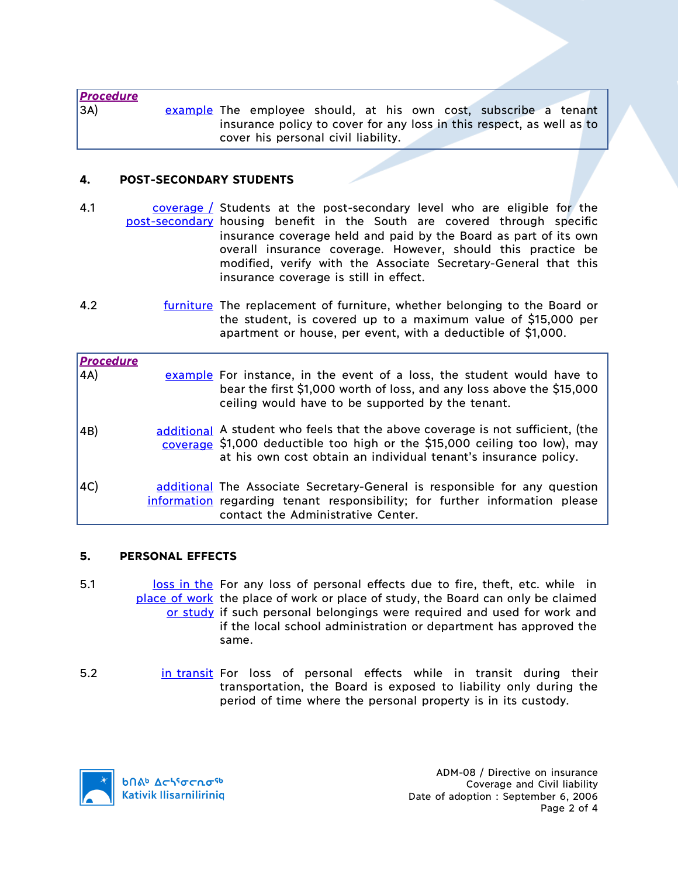*Procedure* 3A) example The employee should, at his own cost, subscribe a tenant insurance policy to cover for any loss in this respect, as well as to cover his personal civil liability.

## **4. POST-SECONDARY STUDENTS**

- 4.1 coverage / Students at the post-secondary level who are eligible for the post-secondary housing benefit in the South are covered through specific insurance coverage held and paid by the Board as part of its own overall insurance coverage. However, should this practice be modified, verify with the Associate Secretary-General that this insurance coverage is still in effect.
- 4.2 *furniture* The replacement of furniture, whether belonging to the Board or the student, is covered up to a maximum value of \$15,000 per apartment or house, per event, with a deductible of \$1,000.

| <b>Procedure</b> |                                                                                                                                                                                                                                 |
|------------------|---------------------------------------------------------------------------------------------------------------------------------------------------------------------------------------------------------------------------------|
| 4A)              | example For instance, in the event of a loss, the student would have to<br>bear the first \$1,000 worth of loss, and any loss above the \$15,000<br>ceiling would have to be supported by the tenant.                           |
| 4B)              | additional A student who feels that the above coverage is not sufficient, (the<br>coverage \$1,000 deductible too high or the \$15,000 ceiling too low), may<br>at his own cost obtain an individual tenant's insurance policy. |
| AC)              | additional The Associate Secretary-General is responsible for any question<br>information regarding tenant responsibility; for further information please<br>contact the Administrative Center.                                 |

## **5. PERSONAL EFFECTS**

- 5.1 loss in the For any loss of personal effects due to fire, theft, etc. while in place of work the place of work or place of study, the Board can only be claimed or study if such personal belongings were required and used for work and if the local school administration or department has approved the same.
- 5.2 **in transit For loss of personal effects while in transit during their** transportation, the Board is exposed to liability only during the period of time where the personal property is in its custody.

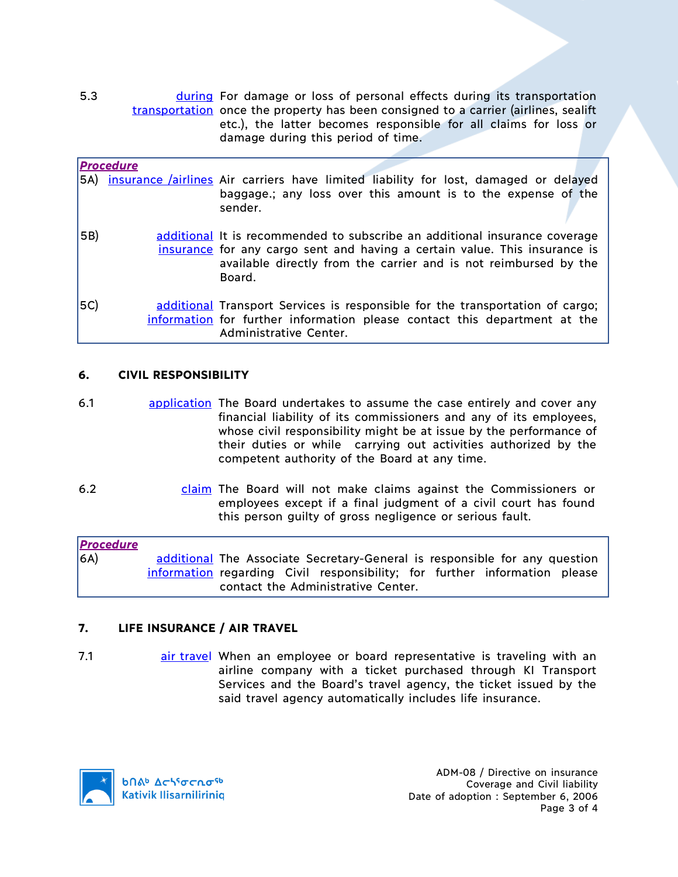5.3 **during For damage or loss of personal effects during its transportation** transportation once the property has been consigned to a carrier (airlines, sealift etc.), the latter becomes responsible for all claims for loss or damage during this period of time.

|     | <b>Procedure</b> |                                                                                                                                                                                                                                        |
|-----|------------------|----------------------------------------------------------------------------------------------------------------------------------------------------------------------------------------------------------------------------------------|
|     |                  | 5A) insurance <i>lairlines</i> Air carriers have limited liability for lost, damaged or delayed<br>baggage.; any loss over this amount is to the expense of the<br>sender.                                                             |
| 5B) |                  | additional It is recommended to subscribe an additional insurance coverage<br>insurance for any cargo sent and having a certain value. This insurance is<br>available directly from the carrier and is not reimbursed by the<br>Board. |
| 5C) |                  | additional Transport Services is responsible for the transportation of cargo;<br>information for further information please contact this department at the<br>Administrative Center.                                                   |

## **6. CIVIL RESPONSIBILITY**

- 6.1 application The Board undertakes to assume the case entirely and cover any financial liability of its commissioners and any of its employees, whose civil responsibility might be at issue by the performance of their duties or while carrying out activities authorized by the competent authority of the Board at any time.
- 6.2 claim The Board will not make claims against the Commissioners or employees except if a final judgment of a civil court has found this person guilty of gross negligence or serious fault.

| <b>Procedure</b> |                                    |  |  |  |  |  |                                                                            |  |
|------------------|------------------------------------|--|--|--|--|--|----------------------------------------------------------------------------|--|
| 6A)              |                                    |  |  |  |  |  | additional The Associate Secretary-General is responsible for any question |  |
|                  |                                    |  |  |  |  |  | information regarding Civil responsibility; for further information please |  |
|                  | contact the Administrative Center. |  |  |  |  |  |                                                                            |  |

# **7. LIFE INSURANCE / AIR TRAVEL**

7.1 **air travel When an employee or board representative is traveling with an** airline company with a ticket purchased through KI Transport Services and the Board's travel agency, the ticket issued by the said travel agency automatically includes life insurance.

**b**Πል<sup>b</sup> Δςιγσς ησ<sup>ς 6</sup> **Kativik Ilisarniliriniq**